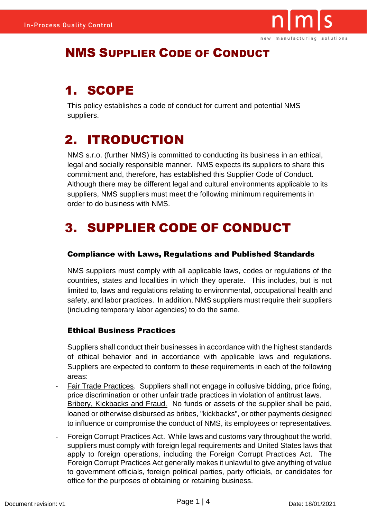

## NMS SUPPLIER CODE OF CONDUCT

# 1. SCOPE

This policy establishes a code of conduct for current and potential NMS suppliers.

# 2. ITRODUCTION

NMS s.r.o. (further NMS) is committed to conducting its business in an ethical, legal and socially responsible manner. NMS expects its suppliers to share this commitment and, therefore, has established this Supplier Code of Conduct. Although there may be different legal and cultural environments applicable to its suppliers, NMS suppliers must meet the following minimum requirements in order to do business with NMS.

# 3. SUPPLIER CODE OF CONDUCT

## Compliance with Laws, Regulations and Published Standards

NMS suppliers must comply with all applicable laws, codes or regulations of the countries, states and localities in which they operate. This includes, but is not limited to, laws and regulations relating to environmental, occupational health and safety, and labor practices. In addition, NMS suppliers must require their suppliers (including temporary labor agencies) to do the same.

### Ethical Business Practices

Suppliers shall conduct their businesses in accordance with the highest standards of ethical behavior and in accordance with applicable laws and regulations. Suppliers are expected to conform to these requirements in each of the following areas:

- Fair Trade Practices. Suppliers shall not engage in collusive bidding, price fixing, price discrimination or other unfair trade practices in violation of antitrust laws. Bribery, Kickbacks and Fraud. No funds or assets of the supplier shall be paid, loaned or otherwise disbursed as bribes, "kickbacks", or other payments designed to influence or compromise the conduct of NMS, its employees or representatives.
- Foreign Corrupt Practices Act. While laws and customs vary throughout the world, suppliers must comply with foreign legal requirements and United States laws that apply to foreign operations, including the Foreign Corrupt Practices Act. The Foreign Corrupt Practices Act generally makes it unlawful to give anything of value to government officials, foreign political parties, party officials, or candidates for office for the purposes of obtaining or retaining business.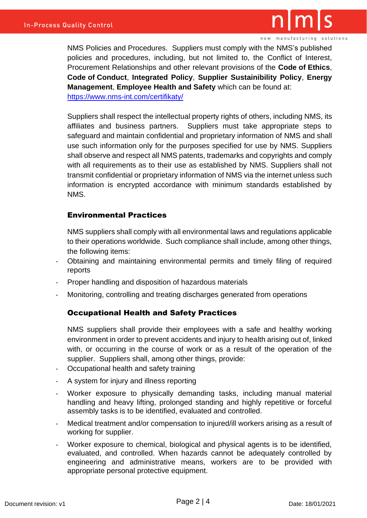

new manufacturing solutions

NMS Policies and Procedures. Suppliers must comply with the NMS's published policies and procedures, including, but not limited to, the Conflict of Interest, Procurement Relationships and other relevant provisions of the **Code of Ethics**, **Code of Conduct**, **Integrated Policy**, **Supplier Sustainibility Policy**, **Energy Management**, **Employee Health and Safety** which can be found at: <https://www.nms-int.com/certifikaty/>

Suppliers shall respect the intellectual property rights of others, including NMS, its affiliates and business partners. Suppliers must take appropriate steps to safeguard and maintain confidential and proprietary information of NMS and shall use such information only for the purposes specified for use by NMS. Suppliers shall observe and respect all NMS patents, trademarks and copyrights and comply with all requirements as to their use as established by NMS. Suppliers shall not transmit confidential or proprietary information of NMS via the internet unless such information is encrypted accordance with minimum standards established by NMS.

#### Environmental Practices

NMS suppliers shall comply with all environmental laws and regulations applicable to their operations worldwide. Such compliance shall include, among other things, the following items:

- Obtaining and maintaining environmental permits and timely filing of required reports
- Proper handling and disposition of hazardous materials
- Monitoring, controlling and treating discharges generated from operations

#### Occupational Health and Safety Practices

NMS suppliers shall provide their employees with a safe and healthy working environment in order to prevent accidents and injury to health arising out of, linked with, or occurring in the course of work or as a result of the operation of the supplier. Suppliers shall, among other things, provide:

- Occupational health and safety training
- A system for injury and illness reporting
- Worker exposure to physically demanding tasks, including manual material handling and heavy lifting, prolonged standing and highly repetitive or forceful assembly tasks is to be identified, evaluated and controlled.
- Medical treatment and/or compensation to injured/ill workers arising as a result of working for supplier.
- Worker exposure to chemical, biological and physical agents is to be identified, evaluated, and controlled. When hazards cannot be adequately controlled by engineering and administrative means, workers are to be provided with appropriate personal protective equipment.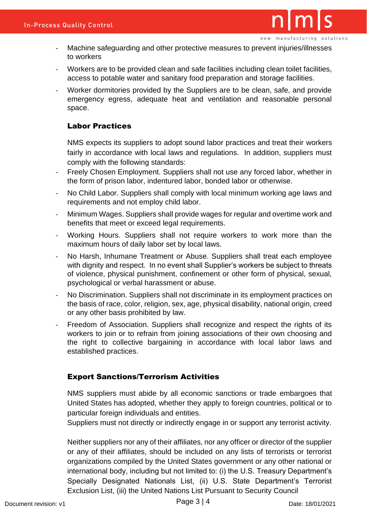- Machine safeguarding and other protective measures to prevent injuries/illnesses to workers
- Workers are to be provided clean and safe facilities including clean toilet facilities, access to potable water and sanitary food preparation and storage facilities.
- Worker dormitories provided by the Suppliers are to be clean, safe, and provide emergency egress, adequate heat and ventilation and reasonable personal space.

#### Labor Practices

NMS expects its suppliers to adopt sound labor practices and treat their workers fairly in accordance with local laws and regulations. In addition, suppliers must comply with the following standards:

- Freely Chosen Employment. Suppliers shall not use any forced labor, whether in the form of prison labor, indentured labor, bonded labor or otherwise.
- No Child Labor. Suppliers shall comply with local minimum working age laws and requirements and not employ child labor.
- Minimum Wages. Suppliers shall provide wages for regular and overtime work and benefits that meet or exceed legal requirements.
- Working Hours. Suppliers shall not require workers to work more than the maximum hours of daily labor set by local laws.
- No Harsh, Inhumane Treatment or Abuse. Suppliers shall treat each employee with dignity and respect. In no event shall Supplier's workers be subject to threats of violence, physical punishment, confinement or other form of physical, sexual, psychological or verbal harassment or abuse.
- No Discrimination. Suppliers shall not discriminate in its employment practices on the basis of race, color, religion, sex, age, physical disability, national origin, creed or any other basis prohibited by law.
- Freedom of Association. Suppliers shall recognize and respect the rights of its workers to join or to refrain from joining associations of their own choosing and the right to collective bargaining in accordance with local labor laws and established practices.

#### Export Sanctions/Terrorism Activities

NMS suppliers must abide by all economic sanctions or trade embargoes that United States has adopted, whether they apply to foreign countries, political or to particular foreign individuals and entities.

Suppliers must not directly or indirectly engage in or support any terrorist activity.

Neither suppliers nor any of their affiliates, nor any officer or director of the supplier or any of their affiliates, should be included on any lists of terrorists or terrorist organizations compiled by the United States government or any other national or international body, including but not limited to: (i) the U.S. Treasury Department's Specially Designated Nationals List, (ii) U.S. State Department's Terrorist Exclusion List, (iii) the United Nations List Pursuant to Security Council